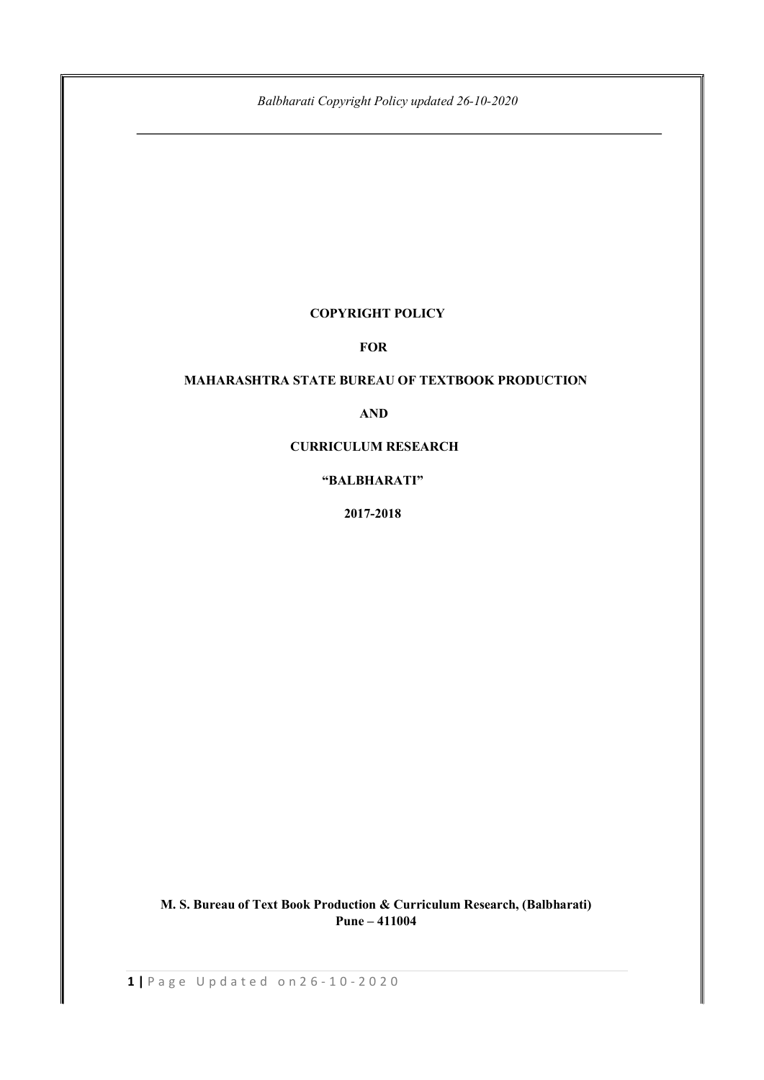# COPYRIGHT POLICY

# FOR

# MAHARASHTRA STATE BUREAU OF TEXTBOOK PRODUCTION

# AND

## CURRICULUM RESEARCH

# "BALBHARATI"

2017-2018

 M. S. Bureau of Text Book Production & Curriculum Research, (Balbharati) Pune – 411004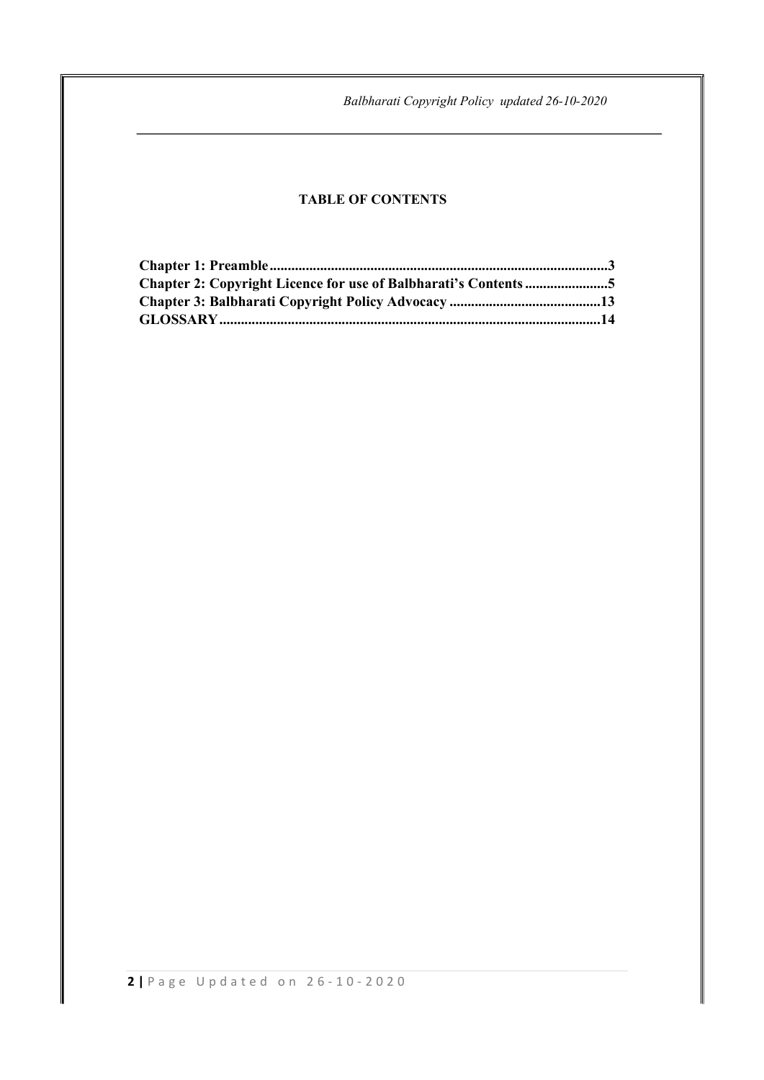# TABLE OF CONTENTS

| <b>Chapter 2: Copyright Licence for use of Balbharati's Contents 5</b> |  |
|------------------------------------------------------------------------|--|
|                                                                        |  |
|                                                                        |  |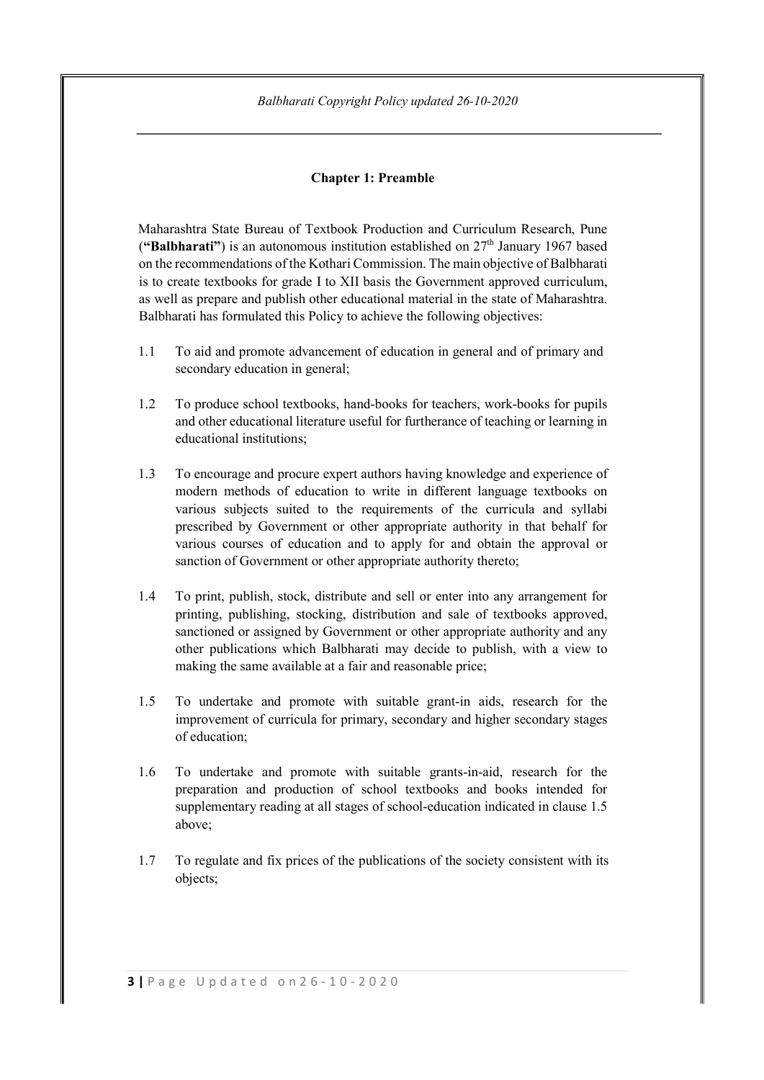# Chapter 1: Preamble

Maharashtra State Bureau of Textbook Production and Curriculum Research, Pune ("Balbharati") is an autonomous institution established on  $27<sup>th</sup>$  January 1967 based on the recommendations of the Kothari Commission. The main objective of Balbharati is to create textbooks for grade I to XII basis the Government approved curriculum, as well as prepare and publish other educational material in the state of Maharashtra. Balbharati has formulated this Policy to achieve the following objectives:

- 1.1 To aid and promote advancement of education in general and of primary and secondary education in general;
- 1.2 To produce school textbooks, hand-books for teachers, work-books for pupils and other educational literature useful for furtherance of teaching or learning in educational institutions;
- 1.3 To encourage and procure expert authors having knowledge and experience of modern methods of education to write in different language textbooks on various subjects suited to the requirements of the curricula and syllabi prescribed by Government or other appropriate authority in that behalf for various courses of education and to apply for and obtain the approval or sanction of Government or other appropriate authority thereto;
- 1.4 To print, publish, stock, distribute and sell or enter into any arrangement for printing, publishing, stocking, distribution and sale of textbooks approved, sanctioned or assigned by Government or other appropriate authority and any other publications which Balbharati may decide to publish, with a view to making the same available at a fair and reasonable price;
- 1.5 To undertake and promote with suitable grant-in aids, research for the improvement of curricula for primary, secondary and higher secondary stages of education;
- 1.6 To undertake and promote with suitable grants-in-aid, research for the preparation and production of school textbooks and books intended for supplementary reading at all stages of school-education indicated in clause 1.5 above;
- 1.7 To regulate and fix prices of the publications of the society consistent with its objects;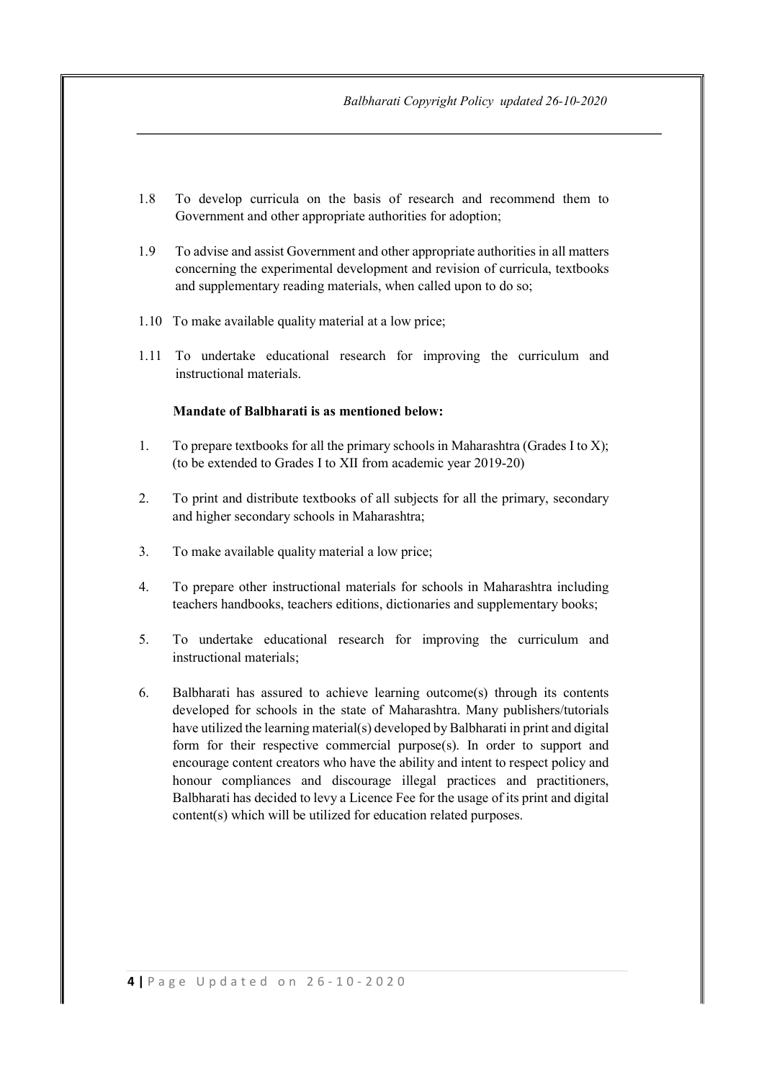- 1.8 To develop curricula on the basis of research and recommend them to Government and other appropriate authorities for adoption;
- 1.9 To advise and assist Government and other appropriate authorities in all matters concerning the experimental development and revision of curricula, textbooks and supplementary reading materials, when called upon to do so;
- 1.10 To make available quality material at a low price;
- 1.11 To undertake educational research for improving the curriculum and instructional materials.

#### Mandate of Balbharati is as mentioned below:

- 1. To prepare textbooks for all the primary schools in Maharashtra (Grades I to X); (to be extended to Grades I to XII from academic year 2019-20)
- 2. To print and distribute textbooks of all subjects for all the primary, secondary and higher secondary schools in Maharashtra;
- 3. To make available quality material a low price;
- 4. To prepare other instructional materials for schools in Maharashtra including teachers handbooks, teachers editions, dictionaries and supplementary books;
- 5. To undertake educational research for improving the curriculum and instructional materials;
- 6. Balbharati has assured to achieve learning outcome(s) through its contents developed for schools in the state of Maharashtra. Many publishers/tutorials have utilized the learning material(s) developed by Balbharati in print and digital form for their respective commercial purpose(s). In order to support and encourage content creators who have the ability and intent to respect policy and honour compliances and discourage illegal practices and practitioners, Balbharati has decided to levy a Licence Fee for the usage of its print and digital content(s) which will be utilized for education related purposes.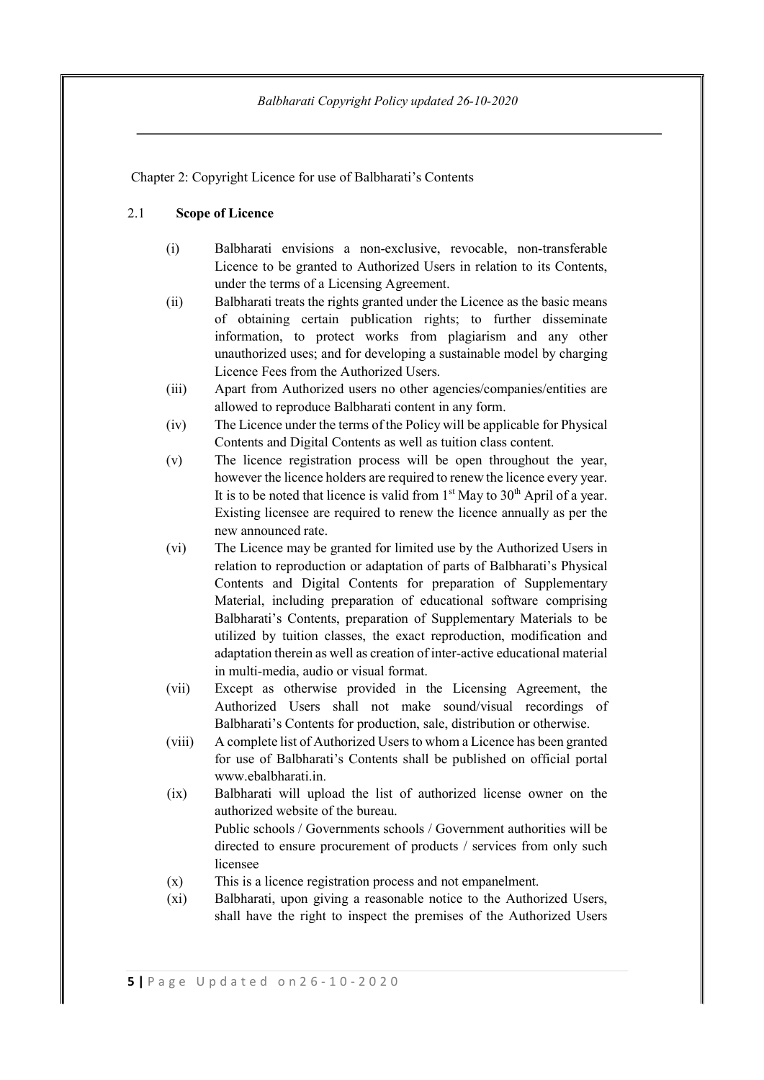Chapter 2: Copyright Licence for use of Balbharati's Contents

### 2.1 Scope of Licence

- (i) Balbharati envisions a non-exclusive, revocable, non-transferable Licence to be granted to Authorized Users in relation to its Contents, under the terms of a Licensing Agreement.
- (ii) Balbharati treats the rights granted under the Licence as the basic means of obtaining certain publication rights; to further disseminate information, to protect works from plagiarism and any other unauthorized uses; and for developing a sustainable model by charging Licence Fees from the Authorized Users.
- (iii) Apart from Authorized users no other agencies/companies/entities are allowed to reproduce Balbharati content in any form.
- (iv) The Licence under the terms of the Policy will be applicable for Physical Contents and Digital Contents as well as tuition class content.
- (v) The licence registration process will be open throughout the year, however the licence holders are required to renew the licence every year. It is to be noted that licence is valid from  $1<sup>st</sup>$  May to  $30<sup>th</sup>$  April of a year. Existing licensee are required to renew the licence annually as per the new announced rate.
- (vi) The Licence may be granted for limited use by the Authorized Users in relation to reproduction or adaptation of parts of Balbharati's Physical Contents and Digital Contents for preparation of Supplementary Material, including preparation of educational software comprising Balbharati's Contents, preparation of Supplementary Materials to be utilized by tuition classes, the exact reproduction, modification and adaptation therein as well as creation of inter-active educational material in multi-media, audio or visual format.
- (vii) Except as otherwise provided in the Licensing Agreement, the Authorized Users shall not make sound/visual recordings of Balbharati's Contents for production, sale, distribution or otherwise.
- (viii) A complete list of Authorized Users to whom a Licence has been granted for use of Balbharati's Contents shall be published on official portal www.ebalbharati.in.
- (ix) Balbharati will upload the list of authorized license owner on the authorized website of the bureau.

Public schools / Governments schools / Government authorities will be directed to ensure procurement of products / services from only such licensee

- (x) This is a licence registration process and not empanelment.
- (xi) Balbharati, upon giving a reasonable notice to the Authorized Users, shall have the right to inspect the premises of the Authorized Users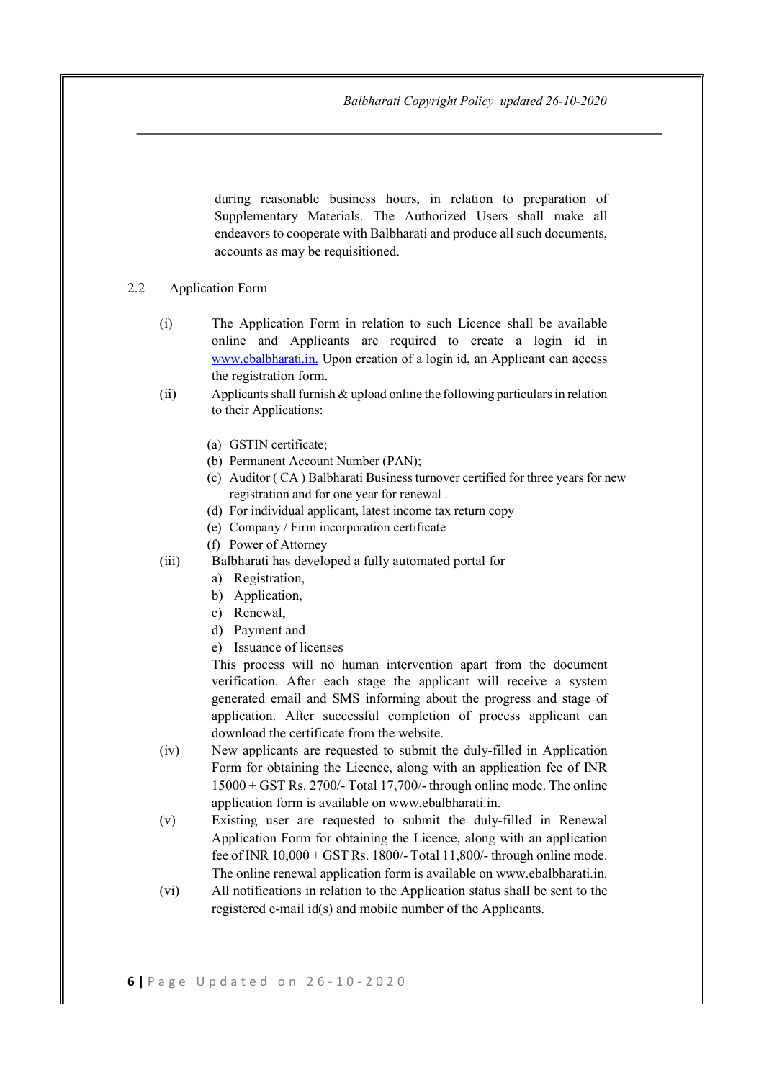during reasonable business hours, in relation to preparation of Supplementary Materials. The Authorized Users shall make all endeavors to cooperate with Balbharati and produce all such documents, accounts as may be requisitioned.

#### 2.2 Application Form

- (i) The Application Form in relation to such Licence shall be available online and Applicants are required to create a login id in www.ebalbharati.in. Upon creation of a login id, an Applicant can access the registration form.
- (ii) Applicants shall furnish & upload online the following particulars in relation to their Applications:
	- (a) GSTIN certificate;
	- (b) Permanent Account Number (PAN);
	- (c) Auditor ( CA ) Balbharati Business turnover certified for three years for new registration and for one year for renewal .
	- (d) For individual applicant, latest income tax return copy
	- (e) Company / Firm incorporation certificate
	- (f) Power of Attorney
- (iii) Balbharati has developed a fully automated portal for
	- a) Registration,
	- b) Application,
	- c) Renewal,
	- d) Payment and
	- e) Issuance of licenses

This process will no human intervention apart from the document verification. After each stage the applicant will receive a system generated email and SMS informing about the progress and stage of application. After successful completion of process applicant can download the certificate from the website.

- (iv) New applicants are requested to submit the duly-filled in Application Form for obtaining the Licence, along with an application fee of INR 15000 + GST Rs. 2700/- Total 17,700/- through online mode. The online application form is available on www.ebalbharati.in.
- (v) Existing user are requested to submit the duly-filled in Renewal Application Form for obtaining the Licence, along with an application fee of INR  $10,000 + GST$  Rs. 1800/- Total 11,800/- through online mode. The online renewal application form is available on www.ebalbharati.in.
- (vi) All notifications in relation to the Application status shall be sent to the registered e-mail id(s) and mobile number of the Applicants.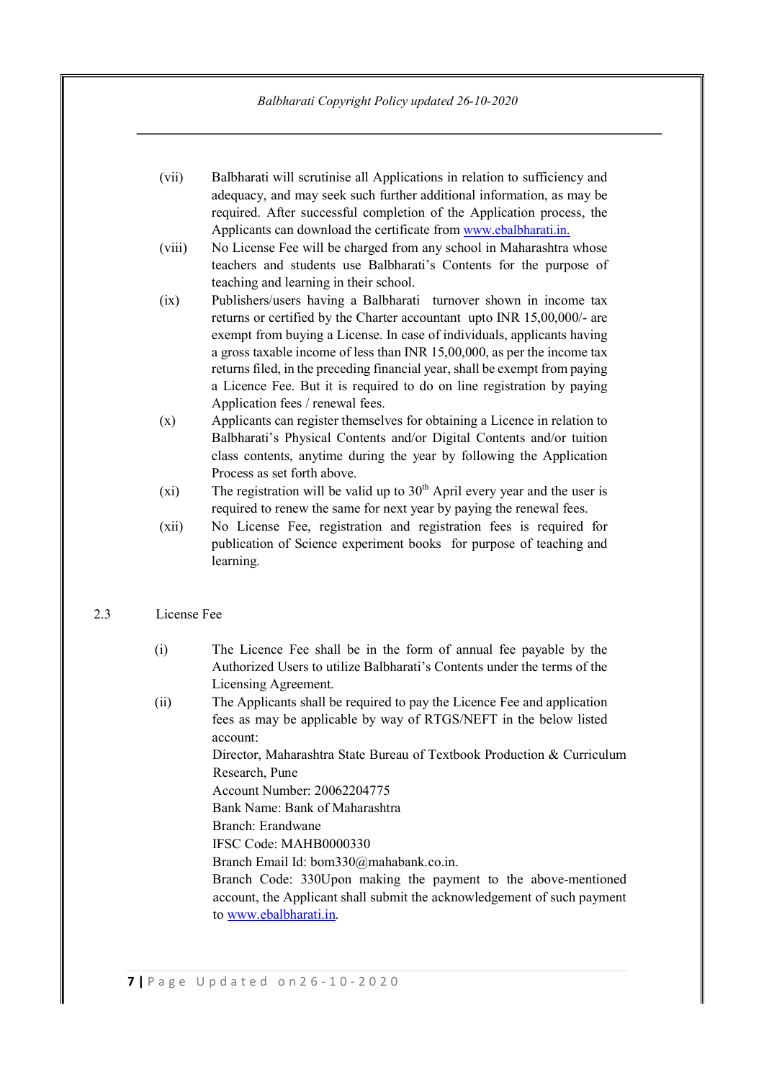- (vii) Balbharati will scrutinise all Applications in relation to sufficiency and adequacy, and may seek such further additional information, as may be required. After successful completion of the Application process, the Applicants can download the certificate from www.ebalbharati.in.
- (viii) No License Fee will be charged from any school in Maharashtra whose teachers and students use Balbharati's Contents for the purpose of teaching and learning in their school.
- (ix) Publishers/users having a Balbharati turnover shown in income tax returns or certified by the Charter accountant upto INR 15,00,000/- are exempt from buying a License. In case of individuals, applicants having a gross taxable income of less than INR 15,00,000, as per the income tax returns filed, in the preceding financial year, shall be exempt from paying a Licence Fee. But it is required to do on line registration by paying Application fees / renewal fees.
- (x) Applicants can register themselves for obtaining a Licence in relation to Balbharati's Physical Contents and/or Digital Contents and/or tuition class contents, anytime during the year by following the Application Process as set forth above.
- (xi) The registration will be valid up to  $30<sup>th</sup>$  April every year and the user is required to renew the same for next year by paying the renewal fees.
- (xii) No License Fee, registration and registration fees is required for publication of Science experiment books for purpose of teaching and learning.

## 2.3 License Fee

- (i) The Licence Fee shall be in the form of annual fee payable by the Authorized Users to utilize Balbharati's Contents under the terms of the Licensing Agreement.
- (ii) The Applicants shall be required to pay the Licence Fee and application fees as may be applicable by way of RTGS/NEFT in the below listed account:

Director, Maharashtra State Bureau of Textbook Production & Curriculum Research, Pune

Account Number: 20062204775

Bank Name: Bank of Maharashtra

Branch: Erandwane

IFSC Code: MAHB0000330

Branch Email Id: bom330@mahabank.co.in.

Branch Code: 330Upon making the payment to the above-mentioned account, the Applicant shall submit the acknowledgement of such payment to www.ebalbharati.in.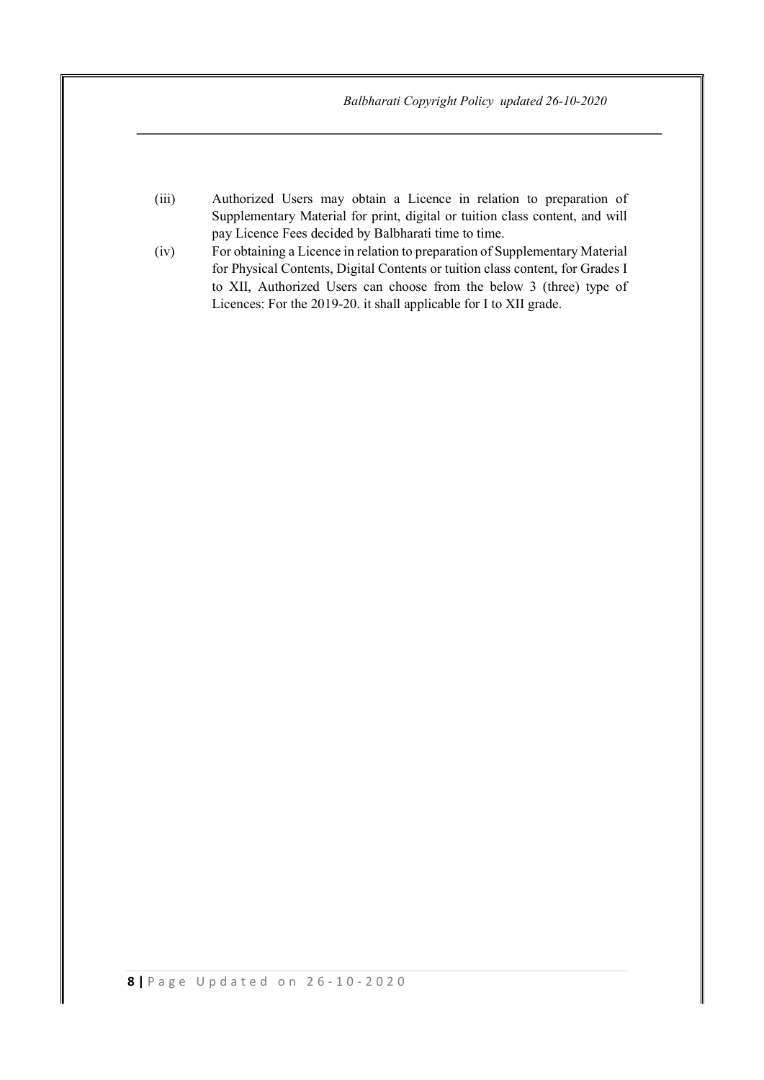- (iii) Authorized Users may obtain a Licence in relation to preparation of Supplementary Material for print, digital or tuition class content, and will pay Licence Fees decided by Balbharati time to time.
- (iv) For obtaining a Licence in relation to preparation of Supplementary Material for Physical Contents, Digital Contents or tuition class content, for Grades I to XII, Authorized Users can choose from the below 3 (three) type of Licences: For the 2019-20. it shall applicable for I to XII grade.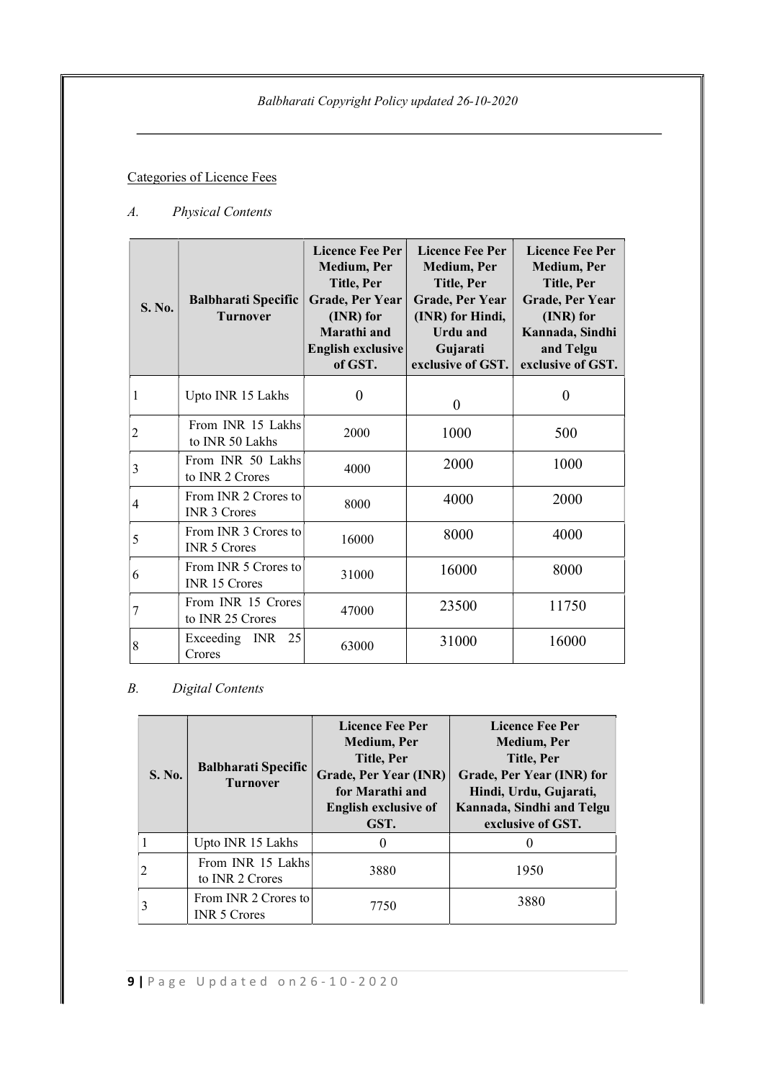# Categories of Licence Fees

# A. Physical Contents

| S. No.       | <b>Balbharati Specific</b><br><b>Turnover</b> | <b>Licence Fee Per</b><br>Medium, Per<br>Title, Per<br><b>Grade, Per Year</b><br>(INR) for<br>Marathi and<br>English exclusive<br>of GST. | <b>Licence Fee Per</b><br><b>Medium</b> , Per<br>Title, Per<br>Grade, Per Year<br>(INR) for Hindi,<br><b>Urdu</b> and<br>Gujarati<br>exclusive of GST. | <b>Licence Fee Per</b><br>Medium, Per<br>Title, Per<br><b>Grade, Per Year</b><br>(INR) for<br>Kannada, Sindhi<br>and Telgu<br>exclusive of GST. |
|--------------|-----------------------------------------------|-------------------------------------------------------------------------------------------------------------------------------------------|--------------------------------------------------------------------------------------------------------------------------------------------------------|-------------------------------------------------------------------------------------------------------------------------------------------------|
| $\mathbf{1}$ | Upto INR 15 Lakhs                             | $\theta$                                                                                                                                  | $\theta$                                                                                                                                               | $\overline{0}$                                                                                                                                  |
| 2            | From INR 15 Lakhs<br>to INR 50 Lakhs          | 2000                                                                                                                                      | 1000                                                                                                                                                   | 500                                                                                                                                             |
| 3            | From INR 50 Lakhs<br>to INR 2 Crores          | 4000                                                                                                                                      | 2000                                                                                                                                                   | 1000                                                                                                                                            |
| 4            | From INR 2 Crores to<br><b>INR 3 Crores</b>   | 8000                                                                                                                                      | 4000                                                                                                                                                   | 2000                                                                                                                                            |
| 5            | From INR 3 Crores to<br><b>INR 5 Crores</b>   | 16000                                                                                                                                     | 8000                                                                                                                                                   | 4000                                                                                                                                            |
| 6            | From INR 5 Crores to<br>INR 15 Crores         | 31000                                                                                                                                     | 16000                                                                                                                                                  | 8000                                                                                                                                            |
| 7            | From INR 15 Crores<br>to INR 25 Crores        | 47000                                                                                                                                     | 23500                                                                                                                                                  | 11750                                                                                                                                           |
| 8            | 25<br>Exceeding INR<br>Crores                 | 63000                                                                                                                                     | 31000                                                                                                                                                  | 16000                                                                                                                                           |

# B. Digital Contents

| <b>S. No.</b> | <b>Balbharati Specific</b><br><b>Turnover</b> | <b>Licence Fee Per</b><br>Medium, Per<br>Title, Per<br><b>Grade, Per Year (INR)</b><br>for Marathi and<br><b>English exclusive of</b><br>GST. | <b>Licence Fee Per</b><br><b>Medium, Per</b><br>Title, Per<br>Grade, Per Year (INR) for<br>Hindi, Urdu, Gujarati,<br>Kannada, Sindhi and Telgu<br>exclusive of GST. |
|---------------|-----------------------------------------------|-----------------------------------------------------------------------------------------------------------------------------------------------|---------------------------------------------------------------------------------------------------------------------------------------------------------------------|
|               | Upto INR 15 Lakhs                             | $\theta$                                                                                                                                      |                                                                                                                                                                     |
|               | From INR 15 Lakhs<br>to INR 2 Crores          | 3880                                                                                                                                          | 1950                                                                                                                                                                |
|               | From INR 2 Crores to<br><b>INR 5 Crores</b>   | 7750                                                                                                                                          | 3880                                                                                                                                                                |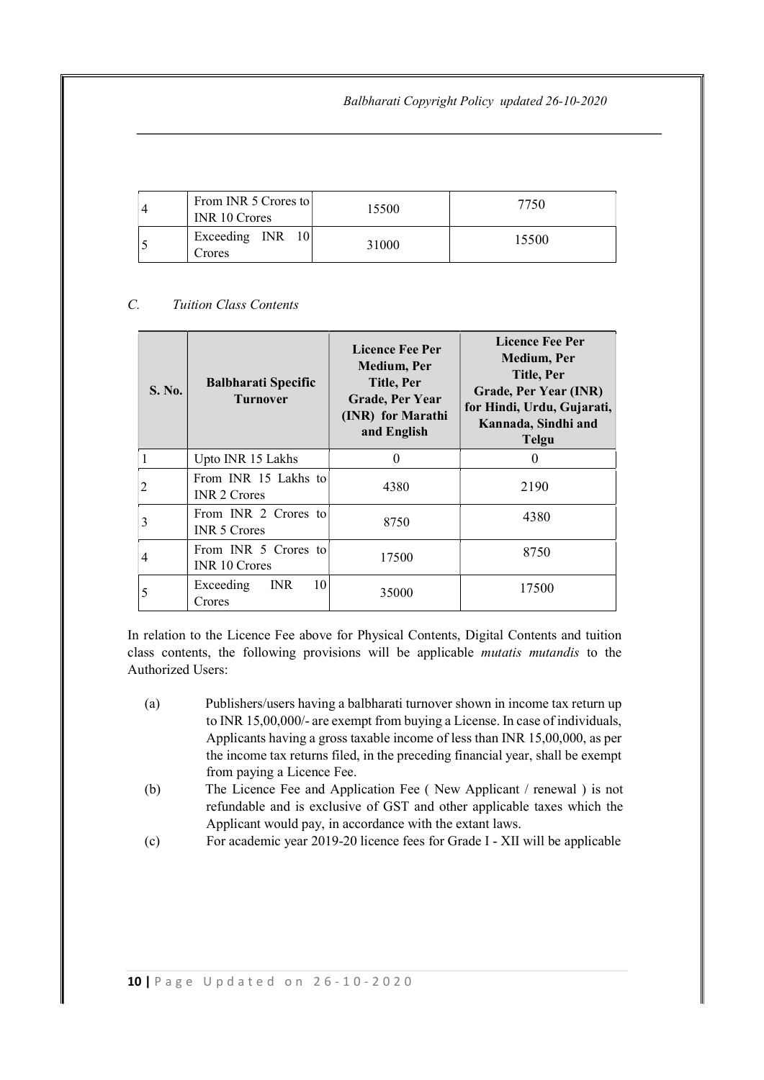| From INR 5 Crores to<br>INR 10 Crores | 15500 | 7750  |
|---------------------------------------|-------|-------|
| Exceeding INR<br>Crores               | 31000 | 15500 |

# C. Tuition Class Contents

| S. No. | <b>Balbharati Specific</b><br><b>Turnover</b> | <b>Licence Fee Per</b><br>Medium, Per<br>Title, Per<br><b>Grade, Per Year</b><br>(INR) for Marathi<br>and English | <b>Licence Fee Per</b><br>Medium, Per<br>Title, Per<br>Grade, Per Year (INR)<br>for Hindi, Urdu, Gujarati,<br>Kannada, Sindhi and<br><b>Telgu</b> |
|--------|-----------------------------------------------|-------------------------------------------------------------------------------------------------------------------|---------------------------------------------------------------------------------------------------------------------------------------------------|
|        | Upto INR 15 Lakhs                             | 0                                                                                                                 | $\theta$                                                                                                                                          |
| 2      | From INR 15 Lakhs to<br><b>INR 2 Crores</b>   | 4380                                                                                                              | 2190                                                                                                                                              |
| 3      | From INR 2 Crores to<br><b>INR 5 Crores</b>   | 8750                                                                                                              | 4380                                                                                                                                              |
| 4      | From INR 5 Crores to<br><b>INR 10 Crores</b>  | 17500                                                                                                             | 8750                                                                                                                                              |
| 5      | 10<br>Exceeding<br><b>INR</b><br>Crores       | 35000                                                                                                             | 17500                                                                                                                                             |

In relation to the Licence Fee above for Physical Contents, Digital Contents and tuition class contents, the following provisions will be applicable mutatis mutandis to the Authorized Users:

- (a) Publishers/users having a balbharati turnover shown in income tax return up to INR 15,00,000/- are exempt from buying a License. In case of individuals, Applicants having a gross taxable income of less than INR 15,00,000, as per the income tax returns filed, in the preceding financial year, shall be exempt from paying a Licence Fee.
- (b) The Licence Fee and Application Fee ( New Applicant / renewal ) is not refundable and is exclusive of GST and other applicable taxes which the Applicant would pay, in accordance with the extant laws.
- (c) For academic year 2019-20 licence fees for Grade I XII will be applicable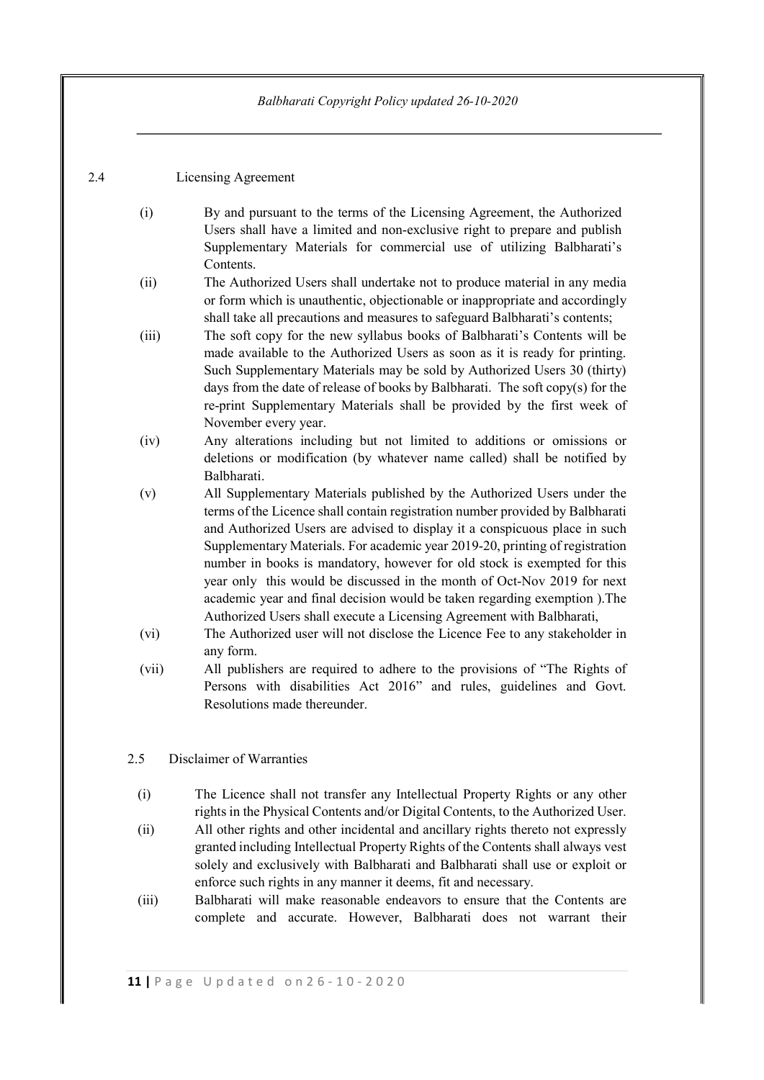# 2.4 Licensing Agreement

- (i) By and pursuant to the terms of the Licensing Agreement, the Authorized Users shall have a limited and non-exclusive right to prepare and publish Supplementary Materials for commercial use of utilizing Balbharati's Contents.
- (ii) The Authorized Users shall undertake not to produce material in any media or form which is unauthentic, objectionable or inappropriate and accordingly shall take all precautions and measures to safeguard Balbharati's contents;
- (iii) The soft copy for the new syllabus books of Balbharati's Contents will be made available to the Authorized Users as soon as it is ready for printing. Such Supplementary Materials may be sold by Authorized Users 30 (thirty) days from the date of release of books by Balbharati. The soft copy(s) for the re-print Supplementary Materials shall be provided by the first week of November every year.
- (iv) Any alterations including but not limited to additions or omissions or deletions or modification (by whatever name called) shall be notified by Balbharati.
- (v) All Supplementary Materials published by the Authorized Users under the terms of the Licence shall contain registration number provided by Balbharati and Authorized Users are advised to display it a conspicuous place in such Supplementary Materials. For academic year 2019-20, printing of registration number in books is mandatory, however for old stock is exempted for this year only this would be discussed in the month of Oct-Nov 2019 for next academic year and final decision would be taken regarding exemption ).The Authorized Users shall execute a Licensing Agreement with Balbharati,
- (vi) The Authorized user will not disclose the Licence Fee to any stakeholder in any form.
- (vii) All publishers are required to adhere to the provisions of "The Rights of Persons with disabilities Act 2016" and rules, guidelines and Govt. Resolutions made thereunder.

## 2.5 Disclaimer of Warranties

- (i) The Licence shall not transfer any Intellectual Property Rights or any other rights in the Physical Contents and/or Digital Contents, to the Authorized User.
- (ii) All other rights and other incidental and ancillary rights thereto not expressly granted including Intellectual Property Rights of the Contents shall always vest solely and exclusively with Balbharati and Balbharati shall use or exploit or enforce such rights in any manner it deems, fit and necessary.
- (iii) Balbharati will make reasonable endeavors to ensure that the Contents are complete and accurate. However, Balbharati does not warrant their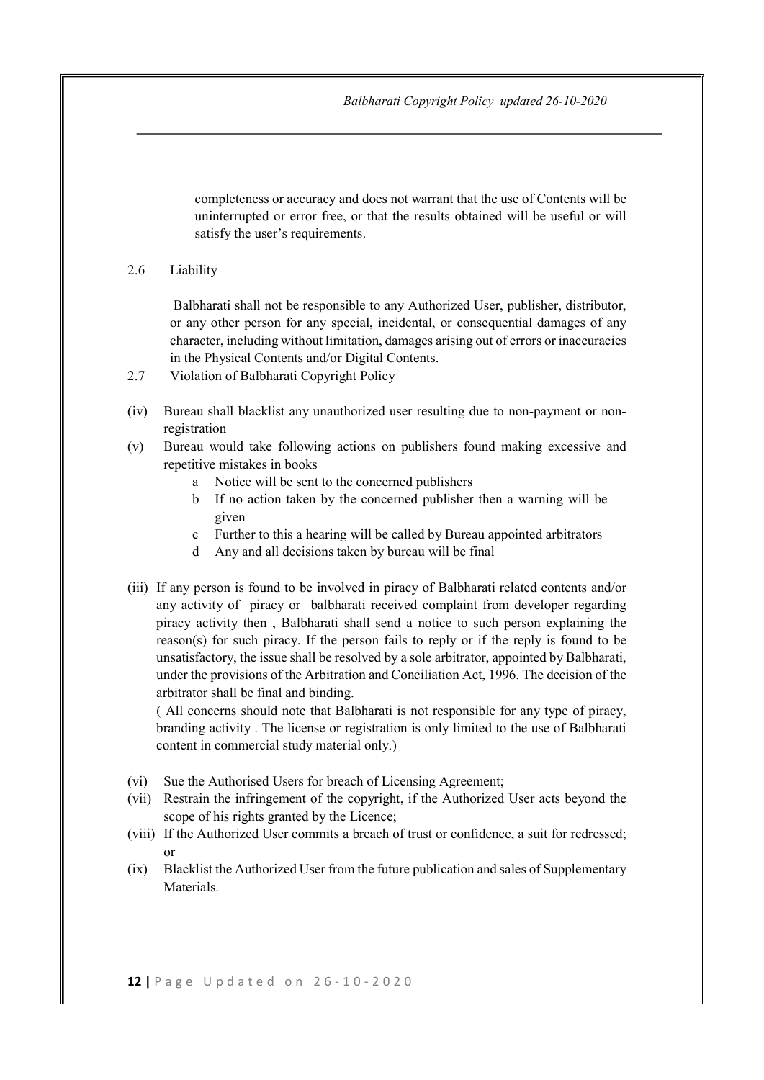completeness or accuracy and does not warrant that the use of Contents will be uninterrupted or error free, or that the results obtained will be useful or will satisfy the user's requirements.

### 2.6 Liability

 Balbharati shall not be responsible to any Authorized User, publisher, distributor, or any other person for any special, incidental, or consequential damages of any character, including without limitation, damages arising out of errors or inaccuracies in the Physical Contents and/or Digital Contents.

- 2.7 Violation of Balbharati Copyright Policy
- (iv) Bureau shall blacklist any unauthorized user resulting due to non-payment or nonregistration
- (v) Bureau would take following actions on publishers found making excessive and repetitive mistakes in books
	- a Notice will be sent to the concerned publishers
	- b If no action taken by the concerned publisher then a warning will be given
	- c Further to this a hearing will be called by Bureau appointed arbitrators
	- d Any and all decisions taken by bureau will be final
- (iii) If any person is found to be involved in piracy of Balbharati related contents and/or any activity of piracy or balbharati received complaint from developer regarding piracy activity then , Balbharati shall send a notice to such person explaining the reason(s) for such piracy. If the person fails to reply or if the reply is found to be unsatisfactory, the issue shall be resolved by a sole arbitrator, appointed by Balbharati, under the provisions of the Arbitration and Conciliation Act, 1996. The decision of the arbitrator shall be final and binding.

 ( All concerns should note that Balbharati is not responsible for any type of piracy, branding activity . The license or registration is only limited to the use of Balbharati content in commercial study material only.)

- (vi) Sue the Authorised Users for breach of Licensing Agreement;
- (vii) Restrain the infringement of the copyright, if the Authorized User acts beyond the scope of his rights granted by the Licence;
- (viii) If the Authorized User commits a breach of trust or confidence, a suit for redressed; or
- (ix) Blacklist the Authorized User from the future publication and sales of Supplementary Materials.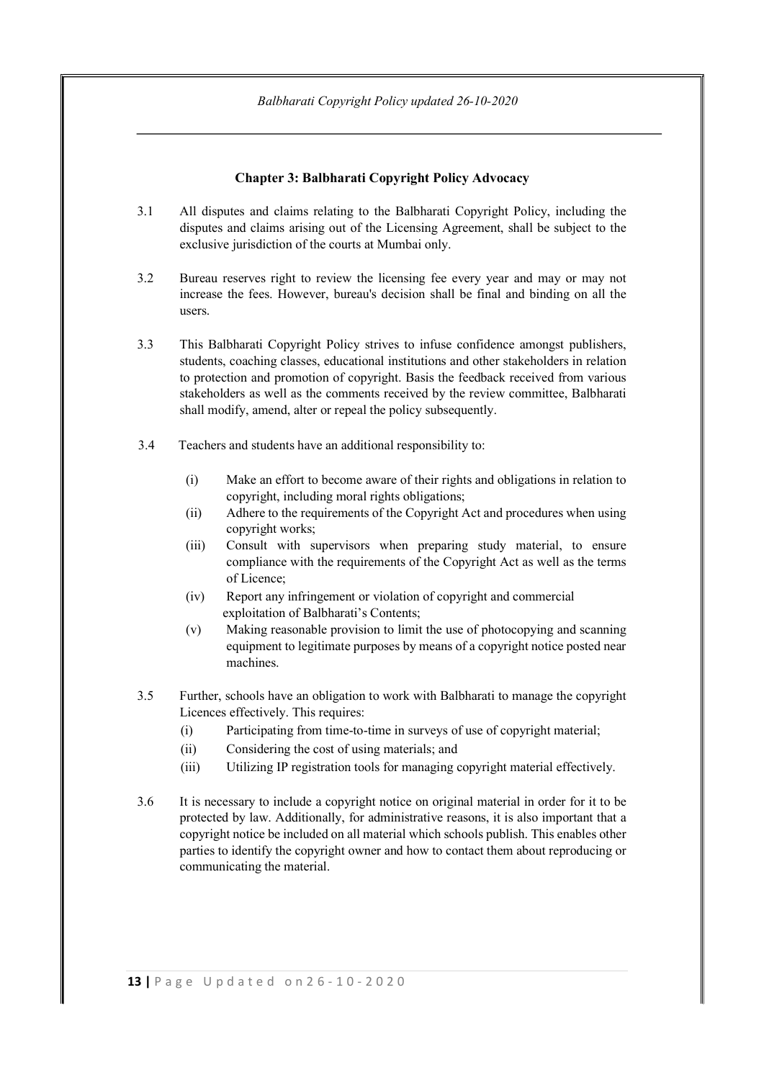### Chapter 3: Balbharati Copyright Policy Advocacy

- 3.1 All disputes and claims relating to the Balbharati Copyright Policy, including the disputes and claims arising out of the Licensing Agreement, shall be subject to the exclusive jurisdiction of the courts at Mumbai only.
- 3.2 Bureau reserves right to review the licensing fee every year and may or may not increase the fees. However, bureau's decision shall be final and binding on all the users.
- 3.3 This Balbharati Copyright Policy strives to infuse confidence amongst publishers, students, coaching classes, educational institutions and other stakeholders in relation to protection and promotion of copyright. Basis the feedback received from various stakeholders as well as the comments received by the review committee, Balbharati shall modify, amend, alter or repeal the policy subsequently.
- 3.4 Teachers and students have an additional responsibility to:
	- (i) Make an effort to become aware of their rights and obligations in relation to copyright, including moral rights obligations;
	- (ii) Adhere to the requirements of the Copyright Act and procedures when using copyright works;
	- (iii) Consult with supervisors when preparing study material, to ensure compliance with the requirements of the Copyright Act as well as the terms of Licence;
	- (iv) Report any infringement or violation of copyright and commercial exploitation of Balbharati's Contents;
	- (v) Making reasonable provision to limit the use of photocopying and scanning equipment to legitimate purposes by means of a copyright notice posted near machines.
- 3.5 Further, schools have an obligation to work with Balbharati to manage the copyright Licences effectively. This requires:
	- (i) Participating from time-to-time in surveys of use of copyright material;
	- (ii) Considering the cost of using materials; and
	- (iii) Utilizing IP registration tools for managing copyright material effectively.
- 3.6 It is necessary to include a copyright notice on original material in order for it to be protected by law. Additionally, for administrative reasons, it is also important that a copyright notice be included on all material which schools publish. This enables other parties to identify the copyright owner and how to contact them about reproducing or communicating the material.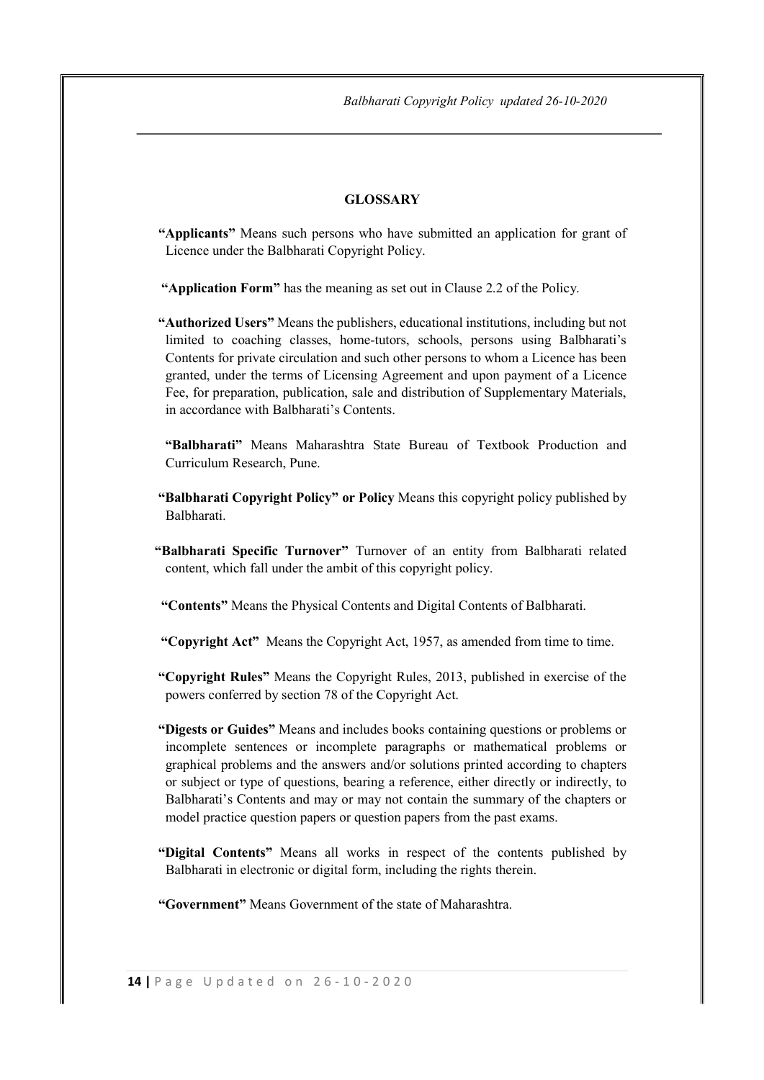### **GLOSSARY**

- "Applicants" Means such persons who have submitted an application for grant of Licence under the Balbharati Copyright Policy.
- "Application Form" has the meaning as set out in Clause 2.2 of the Policy.
- "Authorized Users" Means the publishers, educational institutions, including but not limited to coaching classes, home-tutors, schools, persons using Balbharati's Contents for private circulation and such other persons to whom a Licence has been granted, under the terms of Licensing Agreement and upon payment of a Licence Fee, for preparation, publication, sale and distribution of Supplementary Materials, in accordance with Balbharati's Contents.
- "Balbharati" Means Maharashtra State Bureau of Textbook Production and Curriculum Research, Pune.
- "Balbharati Copyright Policy" or Policy Means this copyright policy published by Balbharati.
- "Balbharati Specific Turnover" Turnover of an entity from Balbharati related content, which fall under the ambit of this copyright policy.
- "Contents" Means the Physical Contents and Digital Contents of Balbharati.
- "Copyright Act" Means the Copyright Act, 1957, as amended from time to time.
- "Copyright Rules" Means the Copyright Rules, 2013, published in exercise of the powers conferred by section 78 of the Copyright Act.
- "Digests or Guides" Means and includes books containing questions or problems or incomplete sentences or incomplete paragraphs or mathematical problems or graphical problems and the answers and/or solutions printed according to chapters or subject or type of questions, bearing a reference, either directly or indirectly, to Balbharati's Contents and may or may not contain the summary of the chapters or model practice question papers or question papers from the past exams.
- "Digital Contents" Means all works in respect of the contents published by Balbharati in electronic or digital form, including the rights therein.

"Government" Means Government of the state of Maharashtra.